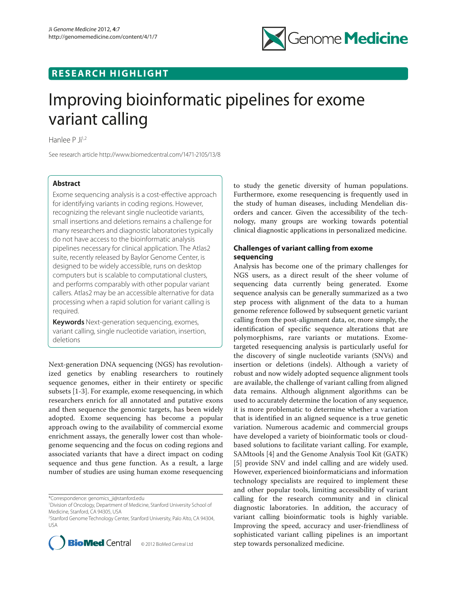## **RESEARCH HIGHLIGHT**



# Improving bioinformatic pipelines for exome variant calling

Hanlee P Ji<sup>1,2</sup>

See research article http://www.biomedcentral.com/1471-2105/13/8

## **Abstract**

Exome sequencing analysis is a cost-effective approach for identifying variants in coding regions. However, recognizing the relevant single nucleotide variants, small insertions and deletions remains a challenge for many researchers and diagnostic laboratories typically do not have access to the bioinformatic analysis pipelines necessary for clinical application. The Atlas2 suite, recently released by Baylor Genome Center, is designed to be widely accessible, runs on desktop computers but is scalable to computational clusters, and performs comparably with other popular variant callers. Atlas2 may be an accessible alternative for data processing when a rapid solution for variant calling is required.

**Keywords** Next-generation sequencing, exomes, variant calling, single nucleotide variation, insertion, deletions

Next-generation DNA sequencing (NGS) has revolutionized genetics by enabling researchers to routinely sequence genomes, either in their entirety or specific subsets [1-3]. For example, exome resequencing, in which researchers enrich for all annotated and putative exons and then sequence the genomic targets, has been widely adopted. Exome sequencing has become a popular approach owing to the availability of commercial exome enrichment assays, the generally lower cost than wholegenome sequencing and the focus on coding regions and associated variants that have a direct impact on coding sequence and thus gene function. As a result, a large number of studies are using human exome resequencing

\*Correspondence: genomics\_ji@stanford.edu

1 Division of Oncology, Department of Medicine, Stanford University School of Medicine, Stanford, CA 94305, USA

2 Stanford Genome Technology Center, Stanford University, Palo Alto, CA 94304, USA



to study the genetic diversity of human populations. Furthermore, exome resequencing is frequently used in the study of human diseases, including Mendelian disorders and cancer. Given the accessibility of the technology, many groups are working towards potential clinical diagnostic applications in personalized medicine.

## **Challenges of variant calling from exome sequencing**

Analysis has become one of the primary challenges for NGS users, as a direct result of the sheer volume of sequencing data currently being generated. Exome sequence analysis can be generally summarized as a two step process with alignment of the data to a human genome reference followed by subsequent genetic variant calling from the post-alignment data, or, more simply, the identification of specific sequence alterations that are polymorphisms, rare variants or mutations. Exometargeted resequencing analysis is particularly useful for the discovery of single nucleotide variants (SNVs) and insertion or deletions (indels). Although a variety of robust and now widely adopted sequence alignment tools are available, the challenge of variant calling from aligned data remains. Although alignment algorithms can be used to accurately determine the location of any sequence, it is more problematic to determine whether a variation that is identified in an aligned sequence is a true genetic variation. Numerous academic and commercial groups have developed a variety of bioinformatic tools or cloudbased solutions to facilitate variant calling. For example, SAMtools [4] and the Genome Analysis Tool Kit (GATK) [5] provide SNV and indel calling and are widely used. However, experienced bioinformaticians and information technology specialists are required to implement these and other popular tools, limiting accessibility of variant calling for the research community and in clinical diagnostic laboratories. In addition, the accuracy of variant calling bioinformatic tools is highly variable. Improving the speed, accuracy and user-friendliness of sophisticated variant calling pipelines is an important step towards personalized medicine.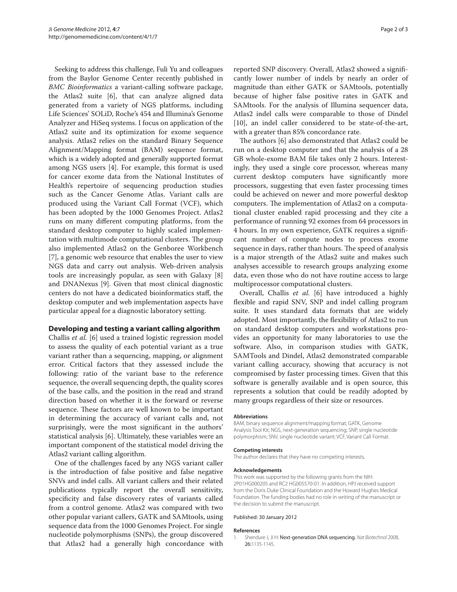Seeking to address this challenge, Fuli Yu and colleagues from the Baylor Genome Center recently published in *BMC Bioinformatics* a variant-calling software package, the Atlas2 suite [6], that can analyze aligned data generated from a variety of NGS platforms, including Life Sciences' SOLiD, Roche's 454 and Illumina's Genome Analyzer and HiSeq systems. I focus on application of the Atlas2 suite and its optimization for exome sequence analysis. Atlas2 relies on the standard Binary Sequence Alignment/Mapping format (BAM) sequence format, which is a widely adopted and generally supported format among NGS users [4]. For example, this format is used for cancer exome data from the National Institutes of Health's repertoire of sequencing production studies such as the Cancer Genome Atlas. Variant calls are produced using the Variant Call Format (VCF), which has been adopted by the 1000 Genomes Project. Atlas2 runs on many different computing platforms, from the standard desktop computer to highly scaled implementation with multimode computational clusters. The group also implemented Atlas2 on the Genboree Workbench [7], a genomic web resource that enables the user to view NGS data and carry out analysis. Web-driven analysis tools are increasingly popular, as seen with Galaxy [8] and DNANexus [9]. Given that most clinical diagnostic centers do not have a dedicated bioinformatics staff, the desktop computer and web implementation aspects have particular appeal for a diagnostic laboratory setting.

### **Developing and testing a variant calling algorithm**

Challis *et al.* [6] used a trained logistic regression model to assess the quality of each potential variant as a true variant rather than a sequencing, mapping, or alignment error. Critical factors that they assessed include the following: ratio of the variant base to the reference sequence, the overall sequencing depth, the quality scores of the base calls, and the position in the read and strand direction based on whether it is the forward or reverse sequence. These factors are well known to be important in determining the accuracy of variant calls and, not surprisingly, were the most significant in the authors' statistical analysis [6]. Ultimately, these variables were an important component of the statistical model driving the Atlas2 variant calling algorithm.

One of the challenges faced by any NGS variant caller is the introduction of false positive and false negative SNVs and indel calls. All variant callers and their related publications typically report the overall sensitivity, specificity and false discovery rates of variants called from a control genome. Atlas2 was compared with two other popular variant callers, GATK and SAMtools, using sequence data from the 1000 Genomes Project. For single nucleotide polymorphisms (SNPs), the group discovered that Atlas2 had a generally high concordance with

reported SNP discovery. Overall, Atlas2 showed a significantly lower number of indels by nearly an order of magnitude than either GATK or SAMtools, potentially because of higher false positive rates in GATK and SAMtools. For the analysis of Illumina sequencer data, Atlas2 indel calls were comparable to those of Dindel [10], an indel caller considered to be state-of-the-art, with a greater than 85% concordance rate.

The authors [6] also demonstrated that Atlas2 could be run on a desktop computer and that the analysis of a 28 GB whole-exome BAM file takes only 2 hours. Interestingly, they used a single core processor, whereas many current desktop computers have significantly more processors, suggesting that even faster processing times could be achieved on newer and more powerful desktop computers. The implementation of Atlas2 on a computational cluster enabled rapid processing and they cite a performance of running 92 exomes from 64 processors in 4 hours. In my own experience, GATK requires a significant number of compute nodes to process exome sequence in days, rather than hours. The speed of analysis is a major strength of the Atlas2 suite and makes such analyses accessible to research groups analyzing exome data, even those who do not have routine access to large multiprocessor computational clusters.

Overall, Challis *et al.* [6] have introduced a highly flexible and rapid SNV, SNP and indel calling program suite. It uses standard data formats that are widely adopted. Most importantly, the flexibility of Atlas2 to run on standard desktop computers and workstations provides an opportunity for many laboratories to use the software. Also, in comparison studies with GATK, SAMTools and Dindel, Atlas2 demonstrated comparable variant calling accuracy, showing that accuracy is not compromised by faster processing times. Given that this software is generally available and is open source, this represents a solution that could be readily adopted by many groups regardless of their size or resources.

#### **Abbreviations**

BAM, binary sequence alignment/mapping format; GATK, Genome Analysis Tool Kit; NGS, next-generation sequencing; SNP, single nucleotide polymorphism; SNV, single nucleotide variant; VCF, Variant Call Format.

#### **Competing interests**

The author declares that they have no competing interests.

#### **Acknowledgements**

This work was supported by the following grants from the NIH: 2P01HG000205 and RC2 HG005570-01. In addition, HPJ received support from the Doris Duke Clinical Foundation and the Howard Hughes Medical Foundation. The funding bodies had no role in writing of the manuscript or the decision to submit the manuscript.

#### Published: 30 January 2012

#### **References**

1. Shendure J, Ji H: Next-generation DNA sequencing. *Nat Biotechnol* 2008, 26:1135-1145.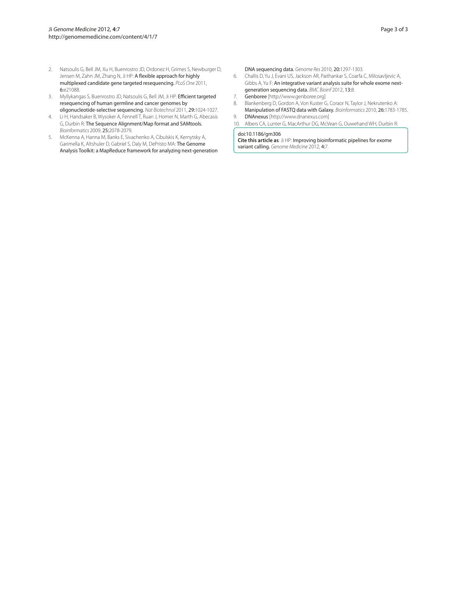- 2. Natsoulis G, Bell JM, Xu H, Buenrostro JD, Ordonez H, Grimes S, Newburger D, Jensen M, Zahn JM, Zhang N, Ji HP: A flexible approach for highly multiplexed candidate gene targeted resequencing. *PLoS One* 2011, 6:e21088.
- 3. Myllykangas S, Buenrostro JD, Natsoulis G, Bell JM, Ji HP: Efficient targeted resequencing of human germline and cancer genomes by oligonucleotide-selective sequencing. *Nat Biotechnol* 2011, 29:1024-1027.
- 4. Li H, Handsaker B, Wysoker A, Fennell T, Ruan J, Homer N, Marth G, Abecasis G, Durbin R: The Sequence Alignment/Map format and SAMtools. *Bioinformatics* 2009, 25:2078-2079.
- 5. McKenna A, Hanna M, Banks E, Sivachenko A, Cibulskis K, Kernytsky A, Garimella K, Altshuler D, Gabriel S, Daly M, DePristo MA: The Genome Analysis Toolkit: a MapReduce framework for analyzing next-generation

DNA sequencing data. *Genome Res* 2010, 20:1297-1303.

- 6. Challis D, Yu J, Evani US, Jackson AR, Paithankar S, Coarfa C, Milosavljevic A, Gibbs A, Yu F: An integrative variant analysis suite for whole exome nextgeneration sequencing data. *BMC Bioinf* 2012, 13:8.
- 7. Genboree [http://www.genboree.org] 8. Blankenberg D, Gordon A, Von Kuster G, Coraor N, Taylor J, Nekrutenko A:
- Manipulation of FASTQ data with Galaxy. *Bioinformatics* 2010, 26:1783-1785. 9. DNAnexus [http://www.dnanexus.com]
- 10. Albers CA, Lunter G, MacArthur DG, McVean G, Ouwehand WH, Durbin R:

## doi:10.1186/gm306

**Cite this article as**: Ji HP: Improving bioinformatic pipelines for exome variant calling. *Genome Medicine* 2012, 4:7.